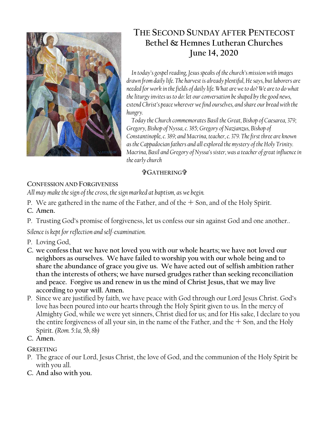

# **THE SECOND SUNDAY AFTER PENTECOST Bethel & Hemnes Lutheran Churches June 14, 2020**

*In today's gospel reading, Jesus speaks of the church's mission with images drawn from daily life. The harvest is already plentiful, He says, but laborers are needed for work in the fields of daily life. What are we to do? We are to do what the liturgy invites us to do: let our conversation be shaped by the good news, extend Christ's peace wherever we find ourselves, and share our bread with the hungry.*

*Today the Church commemorates Basil the Great, Bishop of Caesarea, 379; Gregory, Bishop of Nyssa, c. 385; Gregory of Nazianzus, Bishop of Constantinople, c. 389; and Macrina, teacher, c. 379. The first three are known as the Cappadocian fathers and all explored the mystery of the Holy Trinity. Macrina, Basil and Gregory of Nyssa's sister, was a teacher of great influence in the early church*

## **GATHERING**

# **CONFESSION AND FORGIVENESS**

*All may make the sign of the cross, the sign marked at baptism, as we begin.*

- P. We are gathered in the name of the Father, and of the  $+$  Son, and of the Holy Spirit.
- **C. Amen.**
- P. Trusting God's promise of forgiveness, let us confess our sin against God and one another..

*Silence is kept for reflection and self-examination.*

- P. Loving God,
- **C. we confess that we have not loved you with our whole hearts; we have not loved our neighbors as ourselves. We have failed to worship you with our whole being and to share the abundance of grace you give us. We have acted out of selfish ambition rather than the interests of others; we have nursed grudges rather than seeking reconciliation and peace. Forgive us and renew in us the mind of Christ Jesus, that we may live according to your will. Amen.**
- P. Since we are justified by faith, we have peace with God through our Lord Jesus Christ. God's love has been poured into our hearts through the Holy Spirit given to us. In the mercy of Almighty God, while we were yet sinners, Christ died for us; and for His sake, I declare to you the entire forgiveness of all your sin, in the name of the Father, and the  $+$  Son, and the Holy Spirit. *(Rom. 5:1a, 5b, 8b)*
- **C. Amen.**

# **GREETING**

- P. The grace of our Lord, Jesus Christ, the love of God, and the communion of the Holy Spirit be with you all.
- **C. And also with you.**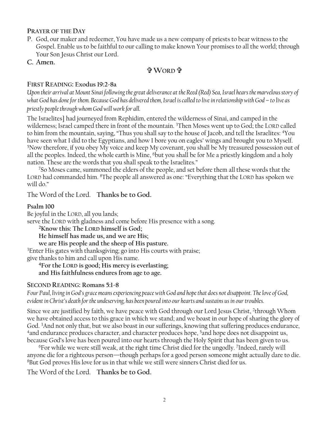#### **PRAYER OF THE DAY**

P. God, our maker and redeemer, You have made us a new company of priests to bear witness to the Gospel. Enable us to be faithful to our calling to make known Your promises to all the world; through Your Son Jesus Christ our Lord.

**C. Amen.**

### **WORD**

### **FIRST READING: Exodus 19:2-8a**

*Upon their arrival at Mount Sinai following the great deliverance at the Reed (Red) Sea, Israel hears the marvelous story of what God has done for them. Because God has delivered them, Israel is called to live in relationship with God – to live as priestly people through whom God will work for all.*

The Israelites] had journeyed from Rephidim, entered the wilderness of Sinai, and camped in the wilderness; Israel camped there in front of the mountain. <sup>3</sup>Then Moses went up to God; the LORD called to him from the mountain, saying, "Thus you shall say to the house of Jacob, and tell the Israelites: <sup>4</sup>You have seen what I did to the Egyptians, and how I bore you on eagles' wings and brought you to Myself. <sup>5</sup>Now therefore, if you obey My voice and keep My covenant, you shall be My treasured possession out of all the peoples. Indeed, the whole earth is Mine, <sup>6</sup>but you shall be for Me a priestly kingdom and a holy nation. These are the words that you shall speak to the Israelites."

<sup>7</sup>So Moses came, summoned the elders of the people, and set before them all these words that the LORD had commanded him. <sup>8</sup>The people all answered as one: "Everything that the LORD has spoken we will do."

The Word of the Lord. **Thanks be to God.**

#### **Psalm 100**

Be joyful in the LORD, all you lands; serve the LORD with gladness and come before His presence with a song.

**<sup>2</sup>Know this: The LORD himself is God;**

**He himself has made us, and we are His;**

**we are His people and the sheep of His pasture.** 

<sup>3</sup>Enter His gates with thanksgiving; go into His courts with praise;

give thanks to him and call upon His name.

**<sup>4</sup>For the LORD is good; His mercy is everlasting; and His faithfulness endures from age to age.**

### **SECOND READING: Romans 5:1-8**

*Four Paul, living in God's grace means experiencing peace with God and hope that does not disappoint. The love of God, evident in Christ's death for the undeserving, has been poured into our hearts and sustains us in our troubles.*

Since we are justified by faith, we have peace with God through our Lord Jesus Christ, <sup>2</sup> through Whom we have obtained access to this grace in which we stand; and we boast in our hope of sharing the glory of God. <sup>3</sup>And not only that, but we also boast in our sufferings, knowing that suffering produces endurance, <sup>4</sup>and endurance produces character, and character produces hope, <sup>5</sup>and hope does not disappoint us, because God's love has been poured into our hearts through the Holy Spirit that has been given to us.

<sup>6</sup>For while we were still weak, at the right time Christ died for the ungodly. <sup>7</sup> Indeed, rarely will anyone die for a righteous person—though perhaps for a good person someone might actually dare to die. <sup>8</sup>But God proves His love for us in that while we still were sinners Christ died for us.

The Word of the Lord. **Thanks be to God.**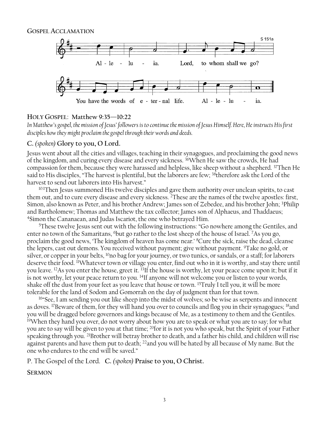

#### **HOLY GOSPEL**: **Matthew 9:35—10:22**

*In Matthew's gospel, the mission of Jesus' followers is to continue the mission of Jesus Himself. Here, He instructs His first disciples how they might proclaim the gospel through their words and deeds.*

#### **C.** *(spoken)* **Glory to you, O Lord.**

Jesus went about all the cities and villages, teaching in their synagogues, and proclaiming the good news of the kingdom, and curing every disease and every sickness. <sup>36</sup>When He saw the crowds, He had compassion for them, because they were harassed and helpless, like sheep without a shepherd. <sup>37</sup>Then He said to His disciples, "The harvest is plentiful, but the laborers are few; <sup>38</sup>therefore ask the Lord of the harvest to send out laborers into His harvest."

<sup>10:1</sup>Then Jesus summoned His twelve disciples and gave them authority over unclean spirits, to cast them out, and to cure every disease and every sickness. <sup>2</sup>These are the names of the twelve apostles: first, Simon, also known as Peter, and his brother Andrew; James son of Zebedee, and his brother John; <sup>3</sup>Philip and Bartholomew; Thomas and Matthew the tax collector; James son of Alphaeus, and Thaddaeus; <sup>4</sup>Simon the Cananaean, and Judas Iscariot, the one who betrayed Him.

<sup>5</sup>These twelve Jesus sent out with the following instructions: "Go nowhere among the Gentiles, and enter no town of the Samaritans, <sup>6</sup>but go rather to the lost sheep of the house of Israel. <sup>7</sup>As you go, proclaim the good news, 'The kingdom of heaven has come near.' <sup>8</sup>Cure the sick, raise the dead, cleanse the lepers, cast out demons. You received without payment; give without payment. <sup>9</sup>Take no gold, or silver, or copper in your belts, <sup>10</sup>no bag for your journey, or two tunics, or sandals, or a staff; for laborers deserve their food. <sup>11</sup>Whatever town or village you enter, find out who in it is worthy, and stay there until you leave. <sup>12</sup>As you enter the house, greet it. <sup>13</sup>If the house is worthy, let your peace come upon it; but if it is not worthy, let your peace return to you. <sup>14</sup>If anyone will not welcome you or listen to your words, shake off the dust from your feet as you leave that house or town. <sup>15</sup>Truly I tell you, it will be more tolerable for the land of Sodom and Gomorrah on the day of judgment than for that town.

<sup>16</sup> See, I am sending you out like sheep into the midst of wolves; so be wise as serpents and innocent as doves. <sup>17</sup>Beware of them, for they will hand you over to councils and flog you in their synagogues; <sup>18</sup>and you will be dragged before governors and kings because of Me, as a testimony to them and the Gentiles. <sup>19</sup>When they hand you over, do not worry about how you are to speak or what you are to say; for what you are to say will be given to you at that time; <sup>20</sup>for it is not you who speak, but the Spirit of your Father speaking through you. <sup>21</sup>Brother will betray brother to death, and a father his child, and children will rise against parents and have them put to death; <sup>22</sup>and you will be hated by all because of My name. But the one who endures to the end will be saved."

P. The Gospel of the Lord. **C.** *(spoken)* **Praise to you, O Christ.**

**SERMON**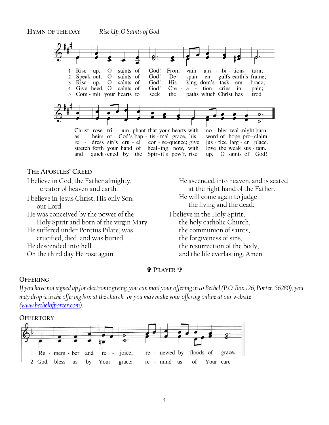

our Lord. He was conceived by the power of the Holy Spirit and born of the virgin Mary. He suffered under Pontius Pilate, was crucified, died, and was buried. He descended into hell.

On the third day He rose again.

the living and the dead.

I believe in the Holy Spirit, the holy catholic Church, the communion of saints, the forgiveness of sins, the resurrection of the body, and the life everlasting. Amen

### **<sup>P</sup>RAYER** .

#### **OFFERING**

*If you have not signed up for electronic giving, you can mail your offering in to Bethel (P.O. Box 126, Porter, 56280), you may drop it in the offering box at the church, or you may make your offering online at our website [\(www.bethelofporter.com\)](http://www.bethelofporter.com/).* 

#### **OFFERTORY**

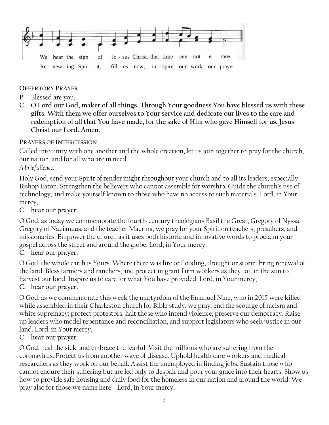

### **OFFERTORY PRAYER**

- P. Blessed are you,
- **C. O Lord our God, maker of all things. Through Your goodness You have blessed us with these gifts. With them we offer ourselves to Your service and dedicate our lives to the care and redemption of all that You have made, for the sake of Him who gave Himself for us, Jesus Christ our Lord. Amen.**

### **PRAYERS OF INTERCESSION**

Called into unity with one another and the whole creation, let us join together to pray for the church, our nation, and for all who are in need.

### *A brief silence.*

Holy God, send your Spirit of tender might throughout your church and to all its leaders, especially Bishop Eaton. Strengthen the believers who cannot assemble for worship. Guide the church's use of technology, and make yourself known to those who have no access to such materials. Lord, in Your mercy,

### **C. hear our prayer.**

O God, as today we commemorate the fourth-century theologians Basil the Great, Gregory of Nyssa, Gregory of Nazianzus, and the teacher Macrina, we pray for your Spirit on teachers, preachers, and missionaries. Empower the church as it uses both historic and innovative words to proclaim your gospel across the street and around the globe. Lord, in Your mercy,

### **C. hear our prayer.**

O God, the whole earth is Yours. Where there was fire or flooding, drought or storm, bring renewal of the land. Bless farmers and ranchers, and protect migrant farm workers as they toil in the sun to harvest our food. Inspire us to care for what You have provided. Lord, in Your mercy,

### **C. hear our prayer.**

O God, as we commemorate this week the martyrdom of the Emanuel Nine, who in 2015 were killed while assembled in their Charleston church for Bible study, we pray: end the scourge of racism and white supremacy; protect protestors; halt those who intend violence; preserve our democracy. Raise up leaders who model repentance and reconciliation, and support legislators who seek justice in our land. Lord, in Your mercy,

### **C. hear our prayer.**

O God, heal the sick, and embrace the fearful. Visit the millions who are suffering from the coronavirus. Protect us from another wave of disease. Uphold health care workers and medical researchers as they work on our behalf. Assist the unemployed in finding jobs. Sustain those who cannot endure their suffering but are led only to despair and pour your grace into their hearts. Show us how to provide safe housing and daily food for the homeless in our nation and around the world. We pray also for those we name here: Lord, in Your mercy,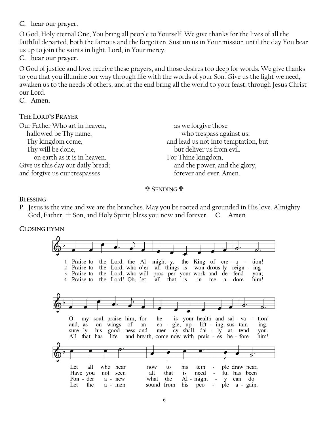### **C. hear our prayer.**

O God, Holy eternal One, You bring all people to Yourself. We give thanks for the lives of all the faithful departed, both the famous and the forgotten. Sustain us in Your mission until the day You bear us up to join the saints in light. Lord, in Your mercy,

### **C. hear our prayer.**

O God of justice and love, receive these prayers, and those desires too deep for words. We give thanks to you that you illumine our way through life with the words of your Son. Give us the light we need, awaken us to the needs of others, and at the end bring all the world to your feast; through Jesus Christ our Lord.

**C. Amen.**

### **THE LORD'S PRAYER**

| Our Father Who art in heaven,     | as we forgive those                  |
|-----------------------------------|--------------------------------------|
| hallowed be Thy name,             | who trespass against us;             |
| Thy kingdom come,                 | and lead us not into temptation, but |
| Thy will be done,                 | but deliver us from evil.            |
| on earth as it is in heaven.      | For Thine kingdom,                   |
| Give us this day our daily bread; | and the power, and the glory,        |
| and forgive us our trespasses     | forever and ever. Amen.              |
|                                   |                                      |

### **SENDING**

### **BLESSING**

P. Jesus is the vine and we are the branches. May you be rooted and grounded in His love. Almighty God, Father,  $+$  Son, and Holy Spirit, bless you now and forever. **C.** Amen

# **CLOSING HYMN** . .